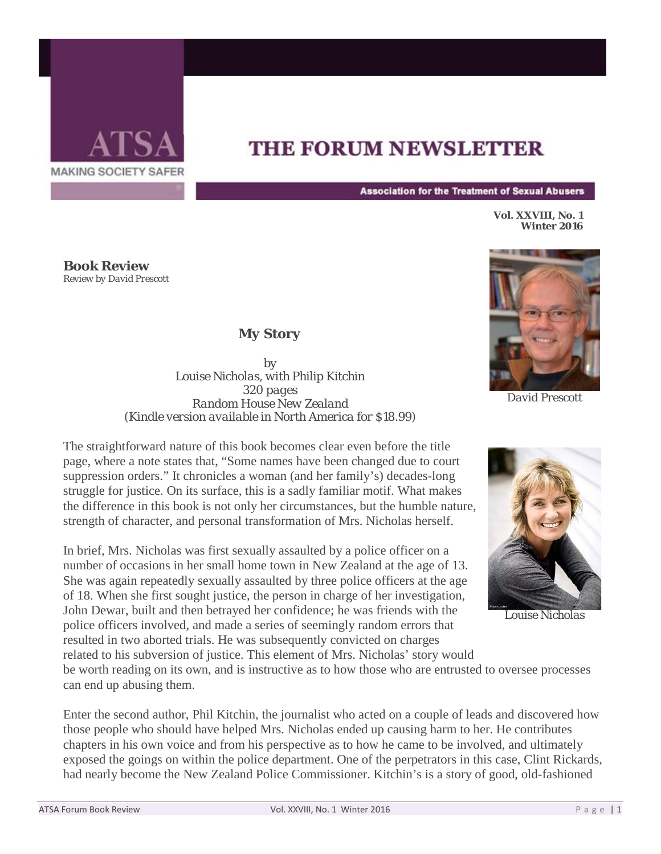

## **THE FORUM NEWSLETTER**

**Association for the Treatment of Sexual Abusers** 

**Vol. XXVIII, No. 1 Winter 2016**

**Book Review** *Review by David Prescott*

## *My Story*

*by Louise Nicholas, with Philip Kitchin 320 pages Random House New Zealand (Kindle version available in North America for \$18.99)*

The straightforward nature of this book becomes clear even before the title page, where a note states that, "Some names have been changed due to court suppression orders." It chronicles a woman (and her family's) decades-long struggle for justice. On its surface, this is a sadly familiar motif. What makes the difference in this book is not only her circumstances, but the humble nature, strength of character, and personal transformation of Mrs. Nicholas herself.

In brief, Mrs. Nicholas was first sexually assaulted by a police officer on a number of occasions in her small home town in New Zealand at the age of 13. She was again repeatedly sexually assaulted by three police officers at the age of 18. When she first sought justice, the person in charge of her investigation, John Dewar, built and then betrayed her confidence; he was friends with the police officers involved, and made a series of seemingly random errors that resulted in two aborted trials. He was subsequently convicted on charges related to his subversion of justice. This element of Mrs. Nicholas' story would



*David Prescott*



*Louise Nicholas*

be worth reading on its own, and is instructive as to how those who are entrusted to oversee processes can end up abusing them.

Enter the second author, Phil Kitchin, the journalist who acted on a couple of leads and discovered how those people who should have helped Mrs. Nicholas ended up causing harm to her. He contributes chapters in his own voice and from his perspective as to how he came to be involved, and ultimately exposed the goings on within the police department. One of the perpetrators in this case, Clint Rickards, had nearly become the New Zealand Police Commissioner. Kitchin's is a story of good, old-fashioned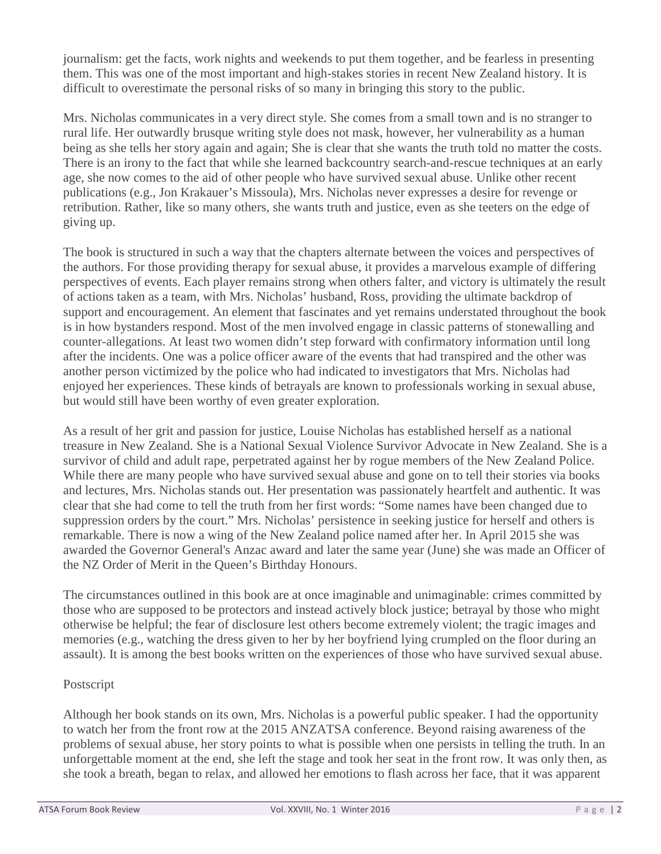journalism: get the facts, work nights and weekends to put them together, and be fearless in presenting them. This was one of the most important and high-stakes stories in recent New Zealand history. It is difficult to overestimate the personal risks of so many in bringing this story to the public.

Mrs. Nicholas communicates in a very direct style. She comes from a small town and is no stranger to rural life. Her outwardly brusque writing style does not mask, however, her vulnerability as a human being as she tells her story again and again; She is clear that she wants the truth told no matter the costs. There is an irony to the fact that while she learned backcountry search-and-rescue techniques at an early age, she now comes to the aid of other people who have survived sexual abuse. Unlike other recent publications (e.g., Jon Krakauer's Missoula), Mrs. Nicholas never expresses a desire for revenge or retribution. Rather, like so many others, she wants truth and justice, even as she teeters on the edge of giving up.

The book is structured in such a way that the chapters alternate between the voices and perspectives of the authors. For those providing therapy for sexual abuse, it provides a marvelous example of differing perspectives of events. Each player remains strong when others falter, and victory is ultimately the result of actions taken as a team, with Mrs. Nicholas' husband, Ross, providing the ultimate backdrop of support and encouragement. An element that fascinates and yet remains understated throughout the book is in how bystanders respond. Most of the men involved engage in classic patterns of stonewalling and counter-allegations. At least two women didn't step forward with confirmatory information until long after the incidents. One was a police officer aware of the events that had transpired and the other was another person victimized by the police who had indicated to investigators that Mrs. Nicholas had enjoyed her experiences. These kinds of betrayals are known to professionals working in sexual abuse, but would still have been worthy of even greater exploration.

As a result of her grit and passion for justice, Louise Nicholas has established herself as a national treasure in New Zealand. She is a National Sexual Violence Survivor Advocate in New Zealand. She is a survivor of child and adult rape, perpetrated against her by rogue members of the New Zealand Police. While there are many people who have survived sexual abuse and gone on to tell their stories via books and lectures, Mrs. Nicholas stands out. Her presentation was passionately heartfelt and authentic. It was clear that she had come to tell the truth from her first words: "Some names have been changed due to suppression orders by the court." Mrs. Nicholas' persistence in seeking justice for herself and others is remarkable. There is now a wing of the New Zealand police named after her. In April 2015 she was awarded the Governor General's Anzac award and later the same year (June) she was made an Officer of the NZ Order of Merit in the Queen's Birthday Honours.

The circumstances outlined in this book are at once imaginable and unimaginable: crimes committed by those who are supposed to be protectors and instead actively block justice; betrayal by those who might otherwise be helpful; the fear of disclosure lest others become extremely violent; the tragic images and memories (e.g., watching the dress given to her by her boyfriend lying crumpled on the floor during an assault). It is among the best books written on the experiences of those who have survived sexual abuse.

## Postscript

Although her book stands on its own, Mrs. Nicholas is a powerful public speaker. I had the opportunity to watch her from the front row at the 2015 ANZATSA conference. Beyond raising awareness of the problems of sexual abuse, her story points to what is possible when one persists in telling the truth. In an unforgettable moment at the end, she left the stage and took her seat in the front row. It was only then, as she took a breath, began to relax, and allowed her emotions to flash across her face, that it was apparent